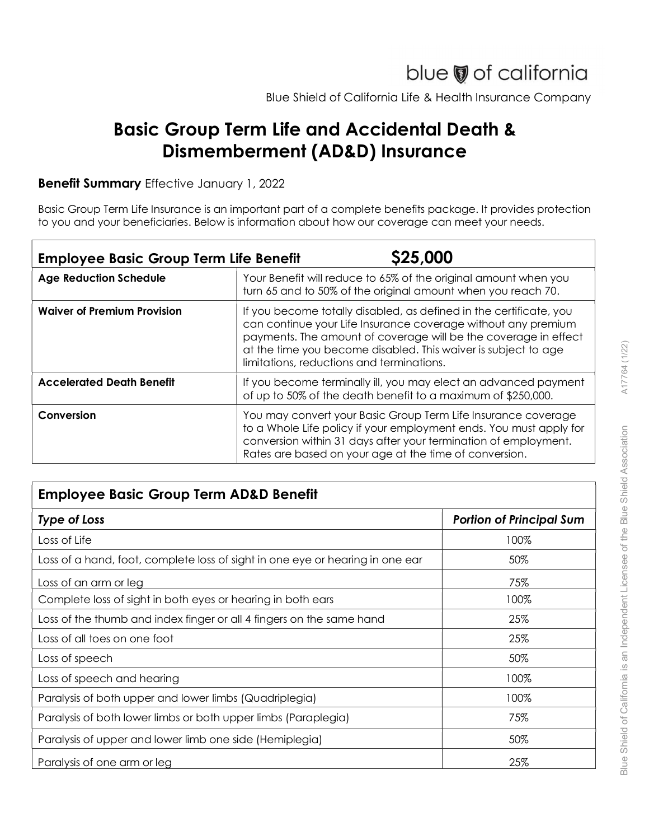## Basic Group Term Life and Accidental Death & Dismemberment (AD&D) Insurance

## Benefit Summary Effective January 1, 2022

|                                               | blue of california<br>Blue Shield of California Life & Health Insurance Company                                                                                                                                                                                                                                       |  |
|-----------------------------------------------|-----------------------------------------------------------------------------------------------------------------------------------------------------------------------------------------------------------------------------------------------------------------------------------------------------------------------|--|
|                                               |                                                                                                                                                                                                                                                                                                                       |  |
|                                               | <b>Basic Group Term Life and Accidental Death &amp;</b><br>Dismemberment (AD&D) Insurance                                                                                                                                                                                                                             |  |
| Benefit Summary Effective January 1, 2022     |                                                                                                                                                                                                                                                                                                                       |  |
|                                               | Basic Group Term Life Insurance is an important part of a complete benefits package. It provides protection<br>to you and your beneficiaries. Below is information about how our coverage can meet your needs.                                                                                                        |  |
| <b>Employee Basic Group Term Life Benefit</b> | \$25,000                                                                                                                                                                                                                                                                                                              |  |
| <b>Age Reduction Schedule</b>                 | Your Benefit will reduce to 65% of the original amount when you<br>turn 65 and to 50% of the original amount when you reach 70.                                                                                                                                                                                       |  |
| <b>Waiver of Premium Provision</b>            | If you become totally disabled, as defined in the certificate, you<br>can continue your Life Insurance coverage without any premium<br>payments. The amount of coverage will be the coverage in effect<br>at the time you become disabled. This waiver is subject to age<br>limitations, reductions and terminations. |  |
| <b>Accelerated Death Benefit</b>              | If you become terminally ill, you may elect an advanced payment<br>of up to 50% of the death benefit to a maximum of \$250,000.                                                                                                                                                                                       |  |
| Conversion                                    | You may convert your Basic Group Term Life Insurance coverage<br>to a Whole Life policy if your employment ends. You must apply for<br>conversion within 31 days after your termination of employment.<br>Rates are based on your age at the time of conversion.                                                      |  |

## Employee Basic Group Term AD&D Benefit

|                                                                               | at the time you become disabled. This waiver is subject to age<br>limitations, reductions and terminations.                                                                                                                                                      |                                 |  |
|-------------------------------------------------------------------------------|------------------------------------------------------------------------------------------------------------------------------------------------------------------------------------------------------------------------------------------------------------------|---------------------------------|--|
| <b>Accelerated Death Benefit</b>                                              | If you become terminally ill, you may elect an advanced payment<br>of up to 50% of the death benefit to a maximum of \$250,000.                                                                                                                                  |                                 |  |
| Conversion                                                                    | You may convert your Basic Group Term Life Insurance coverage<br>to a Whole Life policy if your employment ends. You must apply for<br>conversion within 31 days after your termination of employment.<br>Rates are based on your age at the time of conversion. |                                 |  |
| <b>Employee Basic Group Term AD&amp;D Benefit</b>                             |                                                                                                                                                                                                                                                                  |                                 |  |
| <b>Type of Loss</b>                                                           |                                                                                                                                                                                                                                                                  | <b>Portion of Principal Sum</b> |  |
| Loss of Life                                                                  |                                                                                                                                                                                                                                                                  | 100%                            |  |
| Loss of a hand, foot, complete loss of sight in one eye or hearing in one ear |                                                                                                                                                                                                                                                                  | 50%                             |  |
| Loss of an arm or leg                                                         |                                                                                                                                                                                                                                                                  | 75%                             |  |
| Complete loss of sight in both eyes or hearing in both ears                   |                                                                                                                                                                                                                                                                  | 100%                            |  |
| Loss of the thumb and index finger or all 4 fingers on the same hand          |                                                                                                                                                                                                                                                                  | 25%                             |  |
| Loss of all toes on one foot                                                  |                                                                                                                                                                                                                                                                  | 25%                             |  |
| Loss of speech                                                                |                                                                                                                                                                                                                                                                  | 50%                             |  |
| Loss of speech and hearing                                                    |                                                                                                                                                                                                                                                                  | 100%                            |  |
| Paralysis of both upper and lower limbs (Quadriplegia)                        |                                                                                                                                                                                                                                                                  | 100%                            |  |
| Paralysis of both lower limbs or both upper limbs (Paraplegia)                |                                                                                                                                                                                                                                                                  | 75%                             |  |
| Paralysis of upper and lower limb one side (Hemiplegia)                       |                                                                                                                                                                                                                                                                  | 50%                             |  |
| Paralysis of one arm or leg                                                   |                                                                                                                                                                                                                                                                  | 25%                             |  |